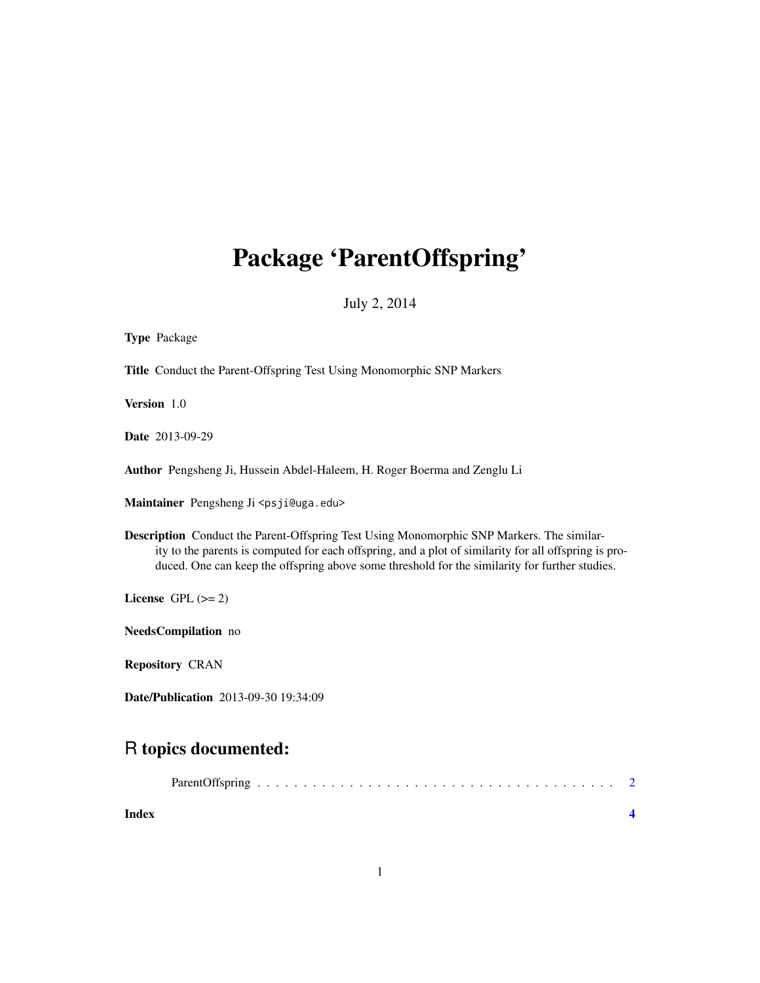# Package 'ParentOffspring'

July 2, 2014

| <b>Type Package</b>                                                                                                                                                                                                                                                                                         |  |
|-------------------------------------------------------------------------------------------------------------------------------------------------------------------------------------------------------------------------------------------------------------------------------------------------------------|--|
| Title Conduct the Parent-Offspring Test Using Monomorphic SNP Markers                                                                                                                                                                                                                                       |  |
| Version 1.0                                                                                                                                                                                                                                                                                                 |  |
| <b>Date</b> 2013-09-29                                                                                                                                                                                                                                                                                      |  |
| Author Pengsheng Ji, Hussein Abdel-Haleem, H. Roger Boerma and Zenglu Li                                                                                                                                                                                                                                    |  |
| Maintainer Pengsheng Ji <psji@uga.edu></psji@uga.edu>                                                                                                                                                                                                                                                       |  |
| <b>Description</b> Conduct the Parent-Offspring Test Using Monomorphic SNP Markers. The similar-<br>ity to the parents is computed for each offspring, and a plot of similarity for all offspring is pro-<br>duced. One can keep the offspring above some threshold for the similarity for further studies. |  |
| License GPL $(>= 2)$                                                                                                                                                                                                                                                                                        |  |
| NeedsCompilation no                                                                                                                                                                                                                                                                                         |  |
| <b>Repository CRAN</b>                                                                                                                                                                                                                                                                                      |  |
| <b>Date/Publication</b> 2013-09-30 19:34:09                                                                                                                                                                                                                                                                 |  |
| R topics documented:                                                                                                                                                                                                                                                                                        |  |
| $D \cup O C$                                                                                                                                                                                                                                                                                                |  |

| Index |  |  |  |  |  |  |  |  |  |  |  |  |  |  |  |  |  |
|-------|--|--|--|--|--|--|--|--|--|--|--|--|--|--|--|--|--|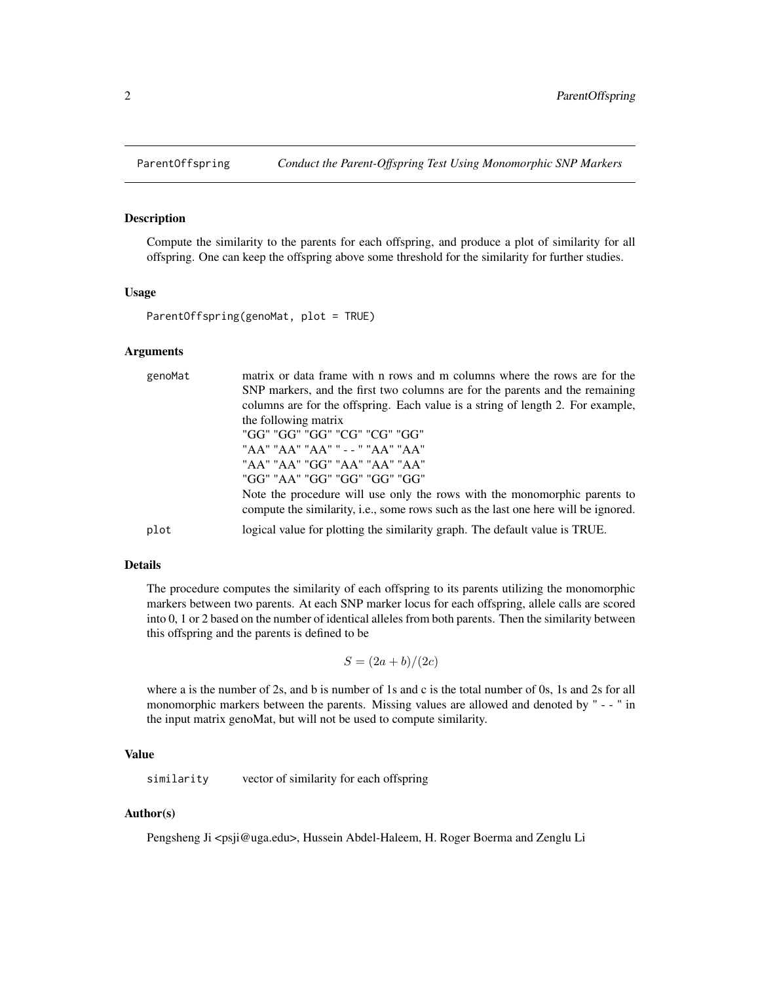<span id="page-1-0"></span>

## Description

Compute the similarity to the parents for each offspring, and produce a plot of similarity for all offspring. One can keep the offspring above some threshold for the similarity for further studies.

#### Usage

ParentOffspring(genoMat, plot = TRUE)

#### Arguments

| genoMat | matrix or data frame with n rows and m columns where the rows are for the<br>SNP markers, and the first two columns are for the parents and the remaining<br>columns are for the offspring. Each value is a string of length 2. For example,<br>the following matrix<br>"GG" "GG" "GG" "CG" "CG" "GG"<br>"AA" "AA" "AA" " - - " "AA" "AA"<br>"AA" "AA" "GG" "AA" "AA" "AA"<br>"GG" "AA" "GG" "GG" "GG" "GG"<br>Note the procedure will use only the rows with the monomorphic parents to<br>compute the similarity, i.e., some rows such as the last one here will be ignored. |
|---------|--------------------------------------------------------------------------------------------------------------------------------------------------------------------------------------------------------------------------------------------------------------------------------------------------------------------------------------------------------------------------------------------------------------------------------------------------------------------------------------------------------------------------------------------------------------------------------|
| plot    | logical value for plotting the similarity graph. The default value is TRUE.                                                                                                                                                                                                                                                                                                                                                                                                                                                                                                    |

#### Details

The procedure computes the similarity of each offspring to its parents utilizing the monomorphic markers between two parents. At each SNP marker locus for each offspring, allele calls are scored into 0, 1 or 2 based on the number of identical alleles from both parents. Then the similarity between this offspring and the parents is defined to be

$$
S = (2a + b)/(2c)
$$

where a is the number of 2s, and b is number of 1s and c is the total number of 0s, 1s and 2s for all monomorphic markers between the parents. Missing values are allowed and denoted by " - - " in the input matrix genoMat, but will not be used to compute similarity.

### Value

similarity vector of similarity for each offspring

### Author(s)

Pengsheng Ji <psji@uga.edu>, Hussein Abdel-Haleem, H. Roger Boerma and Zenglu Li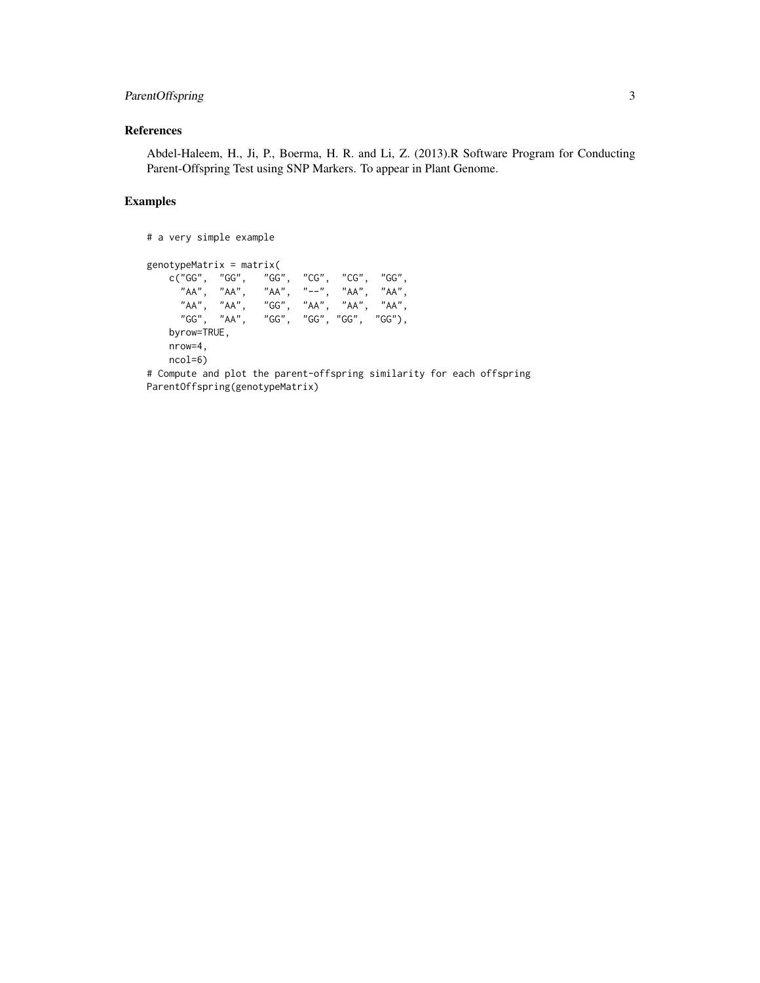## ParentOffspring 3

# References

Abdel-Haleem, H., Ji, P., Boerma, H. R. and Li, Z. (2013).R Software Program for Conducting Parent-Offspring Test using SNP Markers. To appear in Plant Genome.

## Examples

# a very simple example

genotypeMatrix = matrix( c("GG", "GG", "GG", "CG", "CG", "GG", "AA", "AA", "AA", "--", "AA", "AA", "AA", "AA", "GG", "AA", "AA", "AA", "GG", "AA", "GG", "GG", "GG", "GG"), byrow=TRUE, nrow=4, ncol=6)

# Compute and plot the parent-offspring similarity for each offspring ParentOffspring(genotypeMatrix)